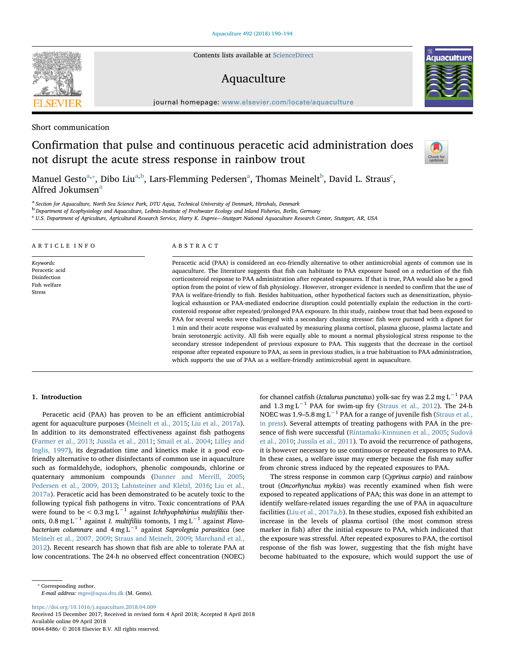Contents lists available at [ScienceDirect](http://www.sciencedirect.com/science/journal/00448486)

# Aquaculture

journal homepage: [www.elsevier.com/locate/aquaculture](https://www.elsevier.com/locate/aquaculture)

Short communication

# Confirmation that pulse and continuous peracetic acid administration does not disrupt the acute stress response in rainbow trout

M[a](#page-0-0)nuel Gesto $^\text{a, *},$  Di[b](#page-0-2)o Liu $^\text{a, b}$ , Lars-Flemming Pedersen $^\text{a}$ , Thomas Meinelt $^\text{b}$ , David L. Straus $^\text{c}$  $^\text{c}$  $^\text{c}$ , Alfred Jokumsen<sup>[a](#page-0-0)</sup>

<span id="page-0-0"></span><sup>a</sup> Section for Aquaculture, North Sea Science Park, DTU Aqua, Technical University of Denmark, Hirtshals, Denmark

<span id="page-0-2"></span><sup>b</sup> Department of Ecophysiology and Aquaculture, Leibniz-Institute of Freshwater Ecology and Inland Fisheries, Berlin, Germany

<span id="page-0-3"></span>c U.S. Department of Agriculture, Agricultural Research Service, Harry K. Dupree—Stuttgart National Aquaculture Research Center, Stuttgart, AR, USA

#### ARTICLE INFO Keywords: Peracetic acid Disinfection Fish welfare Stress ABSTRACT Peracetic acid (PAA) is considered an eco-friendly alternative to other antimicrobial agents of common use in aquaculture. The literature suggests that fish can habituate to PAA exposure based on a reduction of the fish corticosteroid response to PAA administration after repeated exposures. If that is true, PAA would also be a good option from the point of view of fish physiology. However, stronger evidence is needed to confirm that the use of PAA is welfare-friendly to fish. Besides habituation, other hypothetical factors such as desensitization, physiological exhaustion or PAA-mediated endocrine disruption could potentially explain the reduction in the corticosteroid response after repeated/prolonged PAA exposure. In this study, rainbow trout that had been exposed to PAA for several weeks were challenged with a secondary chasing stressor: fish were pursued with a dipnet for 1 min and their acute response was evaluated by measuring plasma cortisol, plasma glucose, plasma lactate and brain serotonergic activity. All fish were equally able to mount a normal physiological stress response to the

1. Introduction

Peracetic acid (PAA) has proven to be an efficient antimicrobial agent for aquaculture purposes [\(Meinelt et al., 2015](#page-4-0); [Liu et al., 2017a](#page-3-0)). In addition to its demonstrated effectiveness against fish pathogens ([Farmer et al., 2013](#page-3-1); [Jussila et al., 2011;](#page-3-2) [Smail et al., 2004;](#page-4-1) [Lilley and](#page-3-3) [Inglis, 1997\)](#page-3-3), its degradation time and kinetics make it a good ecofriendly alternative to other disinfectants of common use in aquaculture such as formaldehyde, iodophors, phenolic compounds, chlorine or quaternary ammonium compounds [\(Danner and Merrill, 2005](#page-3-4); [Pedersen et al., 2009, 2013](#page-4-2); [Lahnsteiner and Kletzl, 2016;](#page-3-5) [Liu et al.,](#page-3-0) [2017a\)](#page-3-0). Peracetic acid has been demonstrated to be acutely toxic to the following typical fish pathogens in vitro. Toxic concentrations of PAA were found to be <  $0.3 \text{ mg L}^{-1}$  against *Ichthyophthirius multifiliis* theronts, 0.8 mg L−<sup>1</sup> against I. multifiliis tomonts, 1 mg L−<sup>1</sup> against Flavobacterium columnare and  $4 \text{ mg L}^{-1}$  against Saprolegnia parasitica (see [Meinelt et al., 2007, 2009;](#page-4-3) [Straus and Meinelt, 2009](#page-4-4); [Marchand et al.,](#page-3-6) [2012\)](#page-3-6). Recent research has shown that fish are able to tolerate PAA at low concentrations. The 24-h no observed effect concentration (NOEC)

secondary stressor independent of previous exposure to PAA. This suggests that the decrease in the cortisol response after repeated exposure to PAA, as seen in previous studies, is a true habituation to PAA administration,

which supports the use of PAA as a welfare-friendly antimicrobial agent in aquaculture.

The stress response in common carp (Cyprinus carpio) and rainbow trout (Oncorhynchus mykiss) was recently examined when fish were exposed to repeated applications of PAA; this was done in an attempt to identify welfare-related issues regarding the use of PAA in aquaculture facilities (Liu et al.,  $2017a$ , b). In these studies, exposed fish exhibited an increase in the levels of plasma cortisol (the most common stress marker in fish) after the initial exposure to PAA, which indicated that the exposure was stressful. After repeated exposures to PAA, the cortisol response of the fish was lower, suggesting that the fish might have become habituated to the exposure, which would support the use of

<https://doi.org/10.1016/j.aquaculture.2018.04.009>

Received 15 December 2017; Received in revised form 4 April 2018; Accepted 8 April 2018 Available online 09 April 2018

0044-8486/ © 2018 Elsevier B.V. All rights reserved.







for channel catfish (*Ictalurus punctatus*) yolk-sac fry was 2.2 mg L<sup>-1</sup> PAA and  $1.3 \text{ mg L}^{-1}$  PAA for swim-up fry [\(Straus et al., 2012](#page-4-5)). The 24-h NOEC was 1.9–5.8 mg L<sup> $-1$ </sup> PAA for a range of juvenile fish ([Straus et al.,](#page-4-6) [in press](#page-4-6)). Several attempts of treating pathogens with PAA in the presence of fish were successful [\(Rintamaki-Kinnunen et al., 2005](#page-4-7); [Sudová](#page-4-8) [et al., 2010;](#page-4-8) [Jussila et al., 2011\)](#page-3-2). To avoid the recurrence of pathogens, it is however necessary to use continuous or repeated exposures to PAA. In these cases, a welfare issue may emerge because the fish may suffer from chronic stress induced by the repeated exposures to PAA.

<span id="page-0-1"></span><sup>⁎</sup> Corresponding author. E-mail address: [mges@aqua.dtu.dk](mailto:mges@aqua.dtu.dk) (M. Gesto).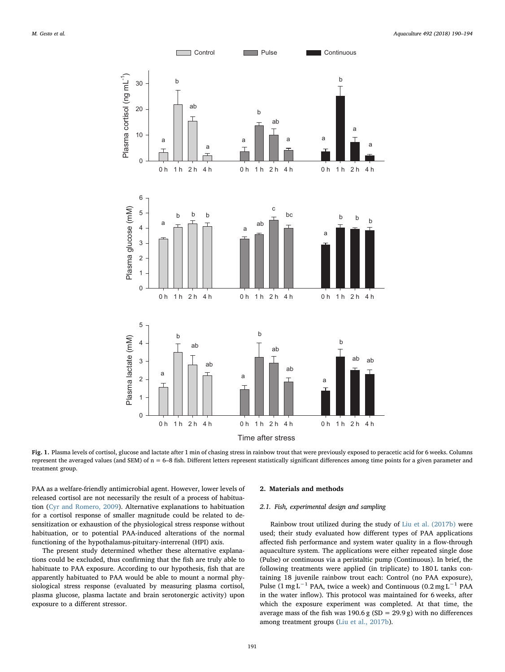<span id="page-1-0"></span>

Fig. 1. Plasma levels of cortisol, glucose and lactate after 1 min of chasing stress in rainbow trout that were previously exposed to peracetic acid for 6 weeks. Columns represent the averaged values (and SEM) of n = 6–8 fish. Different letters represent statistically significant differences among time points for a given parameter and treatment group.

PAA as a welfare-friendly antimicrobial agent. However, lower levels of released cortisol are not necessarily the result of a process of habituation ([Cyr and Romero, 2009\)](#page-3-7). Alternative explanations to habituation for a cortisol response of smaller magnitude could be related to desensitization or exhaustion of the physiological stress response without habituation, or to potential PAA-induced alterations of the normal functioning of the hypothalamus-pituitary-interrenal (HPI) axis.

The present study determined whether these alternative explanations could be excluded, thus confirming that the fish are truly able to habituate to PAA exposure. According to our hypothesis, fish that are apparently habituated to PAA would be able to mount a normal physiological stress response (evaluated by measuring plasma cortisol, plasma glucose, plasma lactate and brain serotonergic activity) upon exposure to a different stressor.

### 2. Materials and methods

# 2.1. Fish, experimental design and sampling

Rainbow trout utilized during the study of [Liu et al. \(2017b\)](#page-3-8) were used; their study evaluated how different types of PAA applications affected fish performance and system water quality in a flow-through aquaculture system. The applications were either repeated single dose (Pulse) or continuous via a peristaltic pump (Continuous). In brief, the following treatments were applied (in triplicate) to 180 L tanks containing 18 juvenile rainbow trout each: Control (no PAA exposure), Pulse (1 mg L−<sup>1</sup> PAA, twice a week) and Continuous (0.2 mg L−<sup>1</sup> PAA in the water inflow). This protocol was maintained for 6 weeks, after which the exposure experiment was completed. At that time, the average mass of the fish was 190.6 g (SD = 29.9 g) with no differences among treatment groups ([Liu et al., 2017b\)](#page-3-8).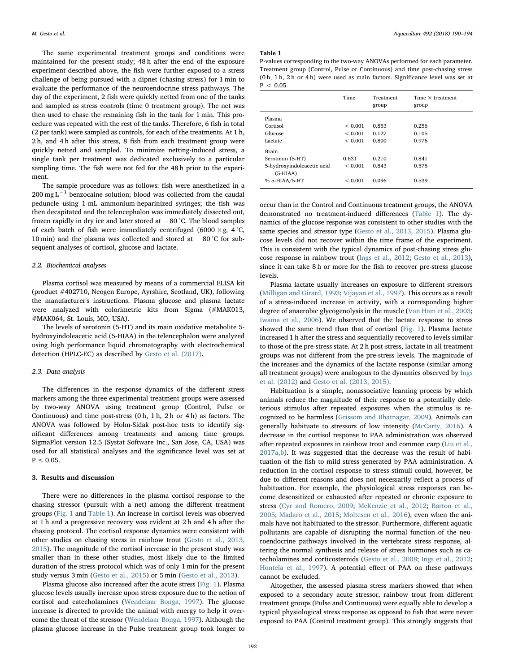The same experimental treatment groups and conditions were maintained for the present study; 48 h after the end of the exposure experiment described above, the fish were further exposed to a stress challenge of being pursued with a dipnet (chasing stress) for 1 min to evaluate the performance of the neuroendocrine stress pathways. The day of the experiment, 2 fish were quickly netted from one of the tanks and sampled as stress controls (time 0 treatment group). The net was then used to chase the remaining fish in the tank for 1 min. This procedure was repeated with the rest of the tanks. Therefore, 6 fish in total (2 per tank) were sampled as controls, for each of the treatments. At 1 h, 2 h, and 4 h after this stress, 8 fish from each treatment group were quickly netted and sampled. To minimize netting-induced stress, a single tank per treatment was dedicated exclusively to a particular sampling time. The fish were not fed for the 48 h prior to the experiment.

The sample procedure was as follows: fish were anesthetized in a  $200 \text{ mg L}^{-1}$  benzocaine solution; blood was collected from the caudal peduncle using 1-mL ammonium-heparinized syringes; the fish was then decapitated and the telencephalon was immediately dissected out, frozen rapidly in dry ice and later stored at −80 °C. The blood samples of each batch of fish were immediately centrifuged (6000  $\times$ g, 4 °C, 10 min) and the plasma was collected and stored at −80 °C for subsequent analyses of cortisol, glucose and lactate.

# 2.2. Biochemical analyses

Plasma cortisol was measured by means of a commercial ELISA kit (product #402710, Neogen Europe, Ayrshire, Scotland, UK), following the manufacturer's instructions. Plasma glucose and plasma lactate were analyzed with colorimetric kits from Sigma (#MAK013, #MAK064, St. Louis, MO, USA).

The levels of serotonin (5-HT) and its main oxidative metabolite 5 hydroxyindoleacetic acid (5-HIAA) in the telencephalon were analyzed using high performance liquid chromatography with electrochemical detection (HPLC-EC) as described by [Gesto et al. \(2017\).](#page-3-9)

## 2.3. Data analysis

The differences in the response dynamics of the different stress markers among the three experimental treatment groups were assessed by two-way ANOVA using treatment group (Control, Pulse or Continuous) and time post-stress (0 h, 1 h, 2 h or 4 h) as factors. The ANOVA was followed by Holm-Sidak post-hoc tests to identify significant differences among treatments and among time groups. SigmaPlot version 12.5 (Systat Software Inc., San Jose, CA, USA) was used for all statistical analyses and the significance level was set at  $P < 0.05$ .

## 3. Results and discussion

There were no differences in the plasma cortisol response to the chasing stressor (pursuit with a net) among the different treatment groups ([Fig. 1](#page-1-0) and [Table 1\)](#page-2-0). An increase in cortisol levels was observed at 1 h and a progressive recovery was evident at 2 h and 4 h after the chasing protocol. The cortisol response dynamics were consistent with other studies on chasing stress in rainbow trout ([Gesto et al., 2013,](#page-3-10) [2015\)](#page-3-10). The magnitude of the cortisol increase in the present study was smaller than in these other studies, most likely due to the limited duration of the stress protocol which was of only 1 min for the present study versus 3 min ([Gesto et al., 2015\)](#page-3-11) or 5 min ([Gesto et al., 2013\)](#page-3-10).

Plasma glucose also increased after the acute stress [\(Fig. 1](#page-1-0)). Plasma glucose levels usually increase upon stress exposure due to the action of cortisol and catecholamines ([Wendelaar Bonga, 1997](#page-4-9)). The glucose increase is directed to provide the animal with energy to help it overcome the threat of the stressor [\(Wendelaar Bonga, 1997\)](#page-4-9). Although the plasma glucose increase in the Pulse treatment group took longer to

### <span id="page-2-0"></span>Table 1

P-values corresponding to the two-way ANOVAs performed for each parameter. Treatment group (Control, Pulse or Continuous) and time post-chasing stress (0 h, 1 h, 2 h or 4 h) were used as main factors. Significance level was set at  $P < 0.05$ 

|                                          | <b>Time</b>  | Treatment<br>group | Time $\times$ treatment<br>group |
|------------------------------------------|--------------|--------------------|----------------------------------|
| Plasma                                   |              |                    |                                  |
| Cortisol                                 | ${}_{0.001}$ | 0.853              | 0.256                            |
| Glucose                                  | < 0.001      | 0.127              | 0.105                            |
| Lactate                                  | ${}_{0.001}$ | 0.800              | 0.976                            |
| <b>Brain</b>                             |              |                    |                                  |
| Serotonin (5-HT)                         | 0.631        | 0.210              | 0.841                            |
| 5-hydroxyindoleacetic acid<br>$(5-HIAA)$ | ${}< 0.001$  | 0.843              | 0.575                            |
| % 5-HIAA/5-HT                            | ${}_{0.001}$ | 0.096              | 0.539                            |

occur than in the Control and Continuous treatment groups, the ANOVA demonstrated no treatment-induced differences [\(Table 1](#page-2-0)). The dynamics of the glucose response was consistent to other studies with the same species and stressor type [\(Gesto et al., 2013, 2015](#page-3-10)). Plasma glucose levels did not recover within the time frame of the experiment. This is consistent with the typical dynamics of post-chasing stress glucose response in rainbow trout ([Ings et al., 2012;](#page-3-12) Gesto [et al., 2013](#page-3-10)), since it can take 8 h or more for the fish to recover pre-stress glucose levels.

Plasma lactate usually increases on exposure to different stressors ([Milligan and Girard, 1993;](#page-4-10) [Vijayan et al., 1997\)](#page-4-11). This occurs as a result of a stress-induced increase in activity, with a corresponding higher degree of anaerobic glycogenolysis in the muscle ([Van Ham et al., 2003](#page-4-12); [Iwama et al., 2006](#page-3-13)). We observed that the lactate response to stress showed the same trend than that of cortisol ([Fig. 1\)](#page-1-0). Plasma lactate increased 1 h after the stress and sequentially recovered to levels similar to those of the pre-stress state. At 2 h post-stress, lactate in all treatment groups was not different from the pre-stress levels. The magnitude of the increases and the dynamics of the lactate response (similar among all treatment groups) were analogous to the dynamics observed by [Ings](#page-3-12) [et al. \(2012\)](#page-3-12) and [Gesto et al. \(2013, 2015\)](#page-3-10).

Habituation is a simple, nonassociative learning process by which animals reduce the magnitude of their response to a potentially deleterious stimulus after repeated exposures when the stimulus is recognized to be harmless [\(Grissom and Bhatnagar, 2009\)](#page-3-14). Animals can generally habituate to stressors of low intensity [\(McCarty, 2016](#page-3-15)). A decrease in the cortisol response to PAA administration was observed after repeated exposures in rainbow trout and common carp [\(Liu et al.,](#page-3-0) [2017a,b](#page-3-0)). It was suggested that the decrease was the result of habituation of the fish to mild stress generated by PAA administration. A reduction in the cortisol response to stress stimuli could, however, be due to different reasons and does not necessarily reflect a process of habituation. For example, the physiological stress responses can become desensitized or exhausted after repeated or chronic exposure to stress ([Cyr and Romero, 2009;](#page-3-7) [McKenzie et al., 2012](#page-4-13); [Barton et al.,](#page-3-16) [2005;](#page-3-16) [Madaro et al., 2015](#page-3-17); [Moltesen et al., 2016\)](#page-4-14), even when the animals have not habituated to the stressor. Furthermore, different aquatic pollutants are capable of disrupting the normal function of the neuroendocrine pathways involved in the vertebrate stress response, altering the normal synthesis and release of stress hormones such as catecholamines and corticosteroids ([Gesto et al., 2008](#page-3-18); [Ings et al., 2012](#page-3-12); [Hontela et al., 1997\)](#page-3-19). A potential effect of PAA on these pathways cannot be excluded.

Altogether, the assessed plasma stress markers showed that when exposed to a secondary acute stressor, rainbow trout from different treatment groups (Pulse and Continuous) were equally able to develop a typical physiological stress response as opposed to fish that were never exposed to PAA (Control treatment group). This strongly suggests that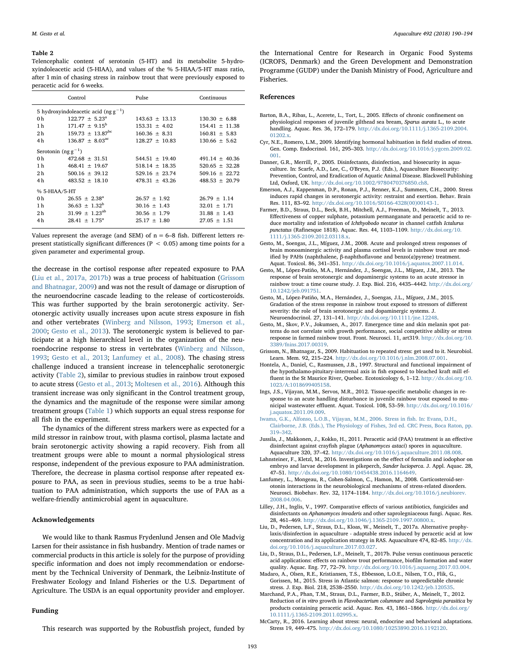#### <span id="page-3-22"></span>Table 2

Telencephalic content of serotonin (5-HT) and its metabolite 5-hydroxyindoleacetic acid (5-HIAA), and values of the % 5-HIAA/5-HT mass ratio, after 1 min of chasing stress in rainbow trout that were previously exposed to peracetic acid for 6 weeks.

|                                           | Control                         | Pulse              | Continuous         |  |  |
|-------------------------------------------|---------------------------------|--------------------|--------------------|--|--|
| 5 hydroxyindoleacetic acid (ng $g^{-1}$ ) |                                 |                    |                    |  |  |
| 0 h                                       | $122.77 \pm 5.23^{\circ}$       | $143.63 \pm 13.13$ | $130.30 \pm 6.88$  |  |  |
| 1 h                                       | $171.47 + 9.15^{\mathrm{b}}$    | $153.31 \pm 4.02$  | $154.41 \pm 11.38$ |  |  |
| 2 <sub>h</sub>                            | $159.73 + 13.87^{bc}$           | $160.36 + 8.31$    | $160.81 \pm 5.83$  |  |  |
| 4h                                        | $136.87 \pm 8.03$ <sup>ac</sup> | $128.27 \pm 10.83$ | $130.66 \pm 5.62$  |  |  |
| Serotonin $(\text{ng }g^{-1})$            |                                 |                    |                    |  |  |
| 0 <sub>h</sub>                            | $472.68 \pm 31.51$              | $544.51 \pm 19.40$ | $491.14 \pm 40.36$ |  |  |
| 1 h                                       | $468.41 \pm 19.67$              | $518.14 \pm 18.35$ | $520.65 \pm 32.28$ |  |  |
| 2 <sub>h</sub>                            | $500.16 + 39.12$                | $529.16 + 23.74$   | $509.16 + 22.72$   |  |  |
| 4h                                        | $483.52 + 18.10$                | $478.31 + 43.26$   | $488.53 \pm 20.79$ |  |  |
| % 5-HIAA/5-HT                             |                                 |                    |                    |  |  |
| 0 <sub>h</sub>                            | $26.55 \pm 2.38^{\circ}$        | $26.57 \pm 1.92$   | $26.79 \pm 1.14$   |  |  |
| 1 h                                       | $36.63 + 1.32^b$                | $30.16 \pm 1.43$   | $32.01 \pm 1.71$   |  |  |
| 2 <sub>h</sub>                            | $31.99 \pm 1.23^{ab}$           | $30.56 \pm 1.79$   | $31.88 + 1.43$     |  |  |
| 4h                                        | $28.41 \pm 1.75^{\circ}$        | $25.17 \pm 1.80$   | $27.05 \pm 1.51$   |  |  |
|                                           |                                 |                    |                    |  |  |

Values represent the average (and SEM) of  $n = 6-8$  fish. Different letters represent statistically significant differences ( $P < 0.05$ ) among time points for a given parameter and experimental group.

the decrease in the cortisol response after repeated exposure to PAA ([Liu et al., 2017a, 2017b\)](#page-3-0) was a true process of habituation [\(Grissom](#page-3-14) [and Bhatnagar, 2009](#page-3-14)) and was not the result of damage or disruption of the neuroendocrine cascade leading to the release of corticosteroids. This was further supported by the brain serotonergic activity. Serotonergic activity usually increases upon acute stress exposure in fish and other vertebrates [\(Winberg and Nilsson, 1993;](#page-4-15) [Emerson et al.,](#page-3-20) [2000;](#page-3-20) [Gesto et al., 2013](#page-3-10)). The serotonergic system is believed to participate at a high hierarchical level in the organization of the neuroendocrine response to stress in vertebrates ([Winberg and Nilsson,](#page-4-15) [1993;](#page-4-15) [Gesto et al., 2013](#page-3-10); [Lanfumey et al., 2008\)](#page-3-21). The chasing stress challenge induced a transient increase in telencephalic serotonergic activity ([Table 2\)](#page-3-22), similar to previous studies in rainbow trout exposed to acute stress ([Gesto et al., 2013;](#page-3-10) [Moltesen et al., 2016](#page-4-14)). Although this transient increase was only significant in the Control treatment group, the dynamics and the magnitude of the response were similar among treatment groups ([Table 1\)](#page-2-0) which supports an equal stress response for all fish in the experiment.

The dynamics of the different stress markers were as expected for a mild stressor in rainbow trout, with plasma cortisol, plasma lactate and brain serotonergic activity showing a rapid recovery. Fish from all treatment groups were able to mount a normal physiological stress response, independent of the previous exposure to PAA administration. Therefore, the decrease in plasma cortisol response after repeated exposure to PAA, as seen in previous studies, seems to be a true habituation to PAA administration, which supports the use of PAA as a welfare-friendly antimicrobial agent in aquaculture.

# Acknowledgements

We would like to thank Rasmus Frydenlund Jensen and Ole Madvig Larsen for their assistance in fish husbandry. Mention of trade names or commercial products in this article is solely for the purpose of providing specific information and does not imply recommendation or endorsement by the Technical University of Denmark, the Leibniz-Institute of Freshwater Ecology and Inland Fisheries or the U.S. Department of Agriculture. The USDA is an equal opportunity provider and employer.

#### Funding

This research was supported by the Robustfish project, funded by

the International Centre for Research in Organic Food Systems (ICROFS, Denmark) and the Green Development and Demonstration Programme (GUDP) under the Danish Ministry of Food, Agriculture and Fisheries.

#### References

- <span id="page-3-16"></span>Barton, B.A., Ribas, L., Acerete, L., Tort, L., 2005. Effects of chronic confinement on physiological responses of juvenile gilthead sea bream, Sparus aurata L., to acute handling. Aquac. Res. 36, 172–179. [http://dx.doi.org/10.1111/j.1365-2109.2004.](http://dx.doi.org/10.1111/j.1365-2109.2004.01202.x) 01202 $\mathbf{x}$
- <span id="page-3-7"></span>Cyr, N.E., Romero, L.M., 2009. Identifying hormonal habituation in field studies of stress. Gen. Comp. Endocrinol. 161, 295–303. [http://dx.doi.org/10.1016/j.ygcen.2009.02.](http://dx.doi.org/10.1016/j.ygcen.2009.02.001) [001](http://dx.doi.org/10.1016/j.ygcen.2009.02.001).
- <span id="page-3-4"></span>Danner, G.R., Merrill, P., 2005. Disinfectants, disinfection, and biosecurity in aquaculture. In: Scarfe, A.D., Lee, C., O'Bryen, P.J. (Eds.), Aquaculture Biosecurity: Prevention, Control, and Eradication of Aquatic Animal Disease. Blackwell Publishing Ltd, Oxford, UK. <http://dx.doi.org/10.1002/9780470376850.ch8>.
- <span id="page-3-20"></span>Emerson, A.J., Kappenman, D.P., Ronan, P.J., Renner, K.J., Summers, C.H., 2000. Stress induces rapid changes in serotonergic activity: restraint and exertion. Behav. Brain Res. 111, 83–92. [http://dx.doi.org/10.1016/S0166-4328\(00\)00143-1.](http://dx.doi.org/10.1016/S0166-4328(00)00143-1)
- <span id="page-3-1"></span>Farmer, B.D., Straus, D.L., Beck, B.H., Mitchell, A.J., Freeman, D., Meinelt, T., 2013. Effectiveness of copper sulphate, potassium permanganate and peracetic acid to reduce mortality and infestation of Ichthyobodo necator in channel catfish Ictalurus punctatus (Rafinesque 1818). Aquac. Res. 44, 1103–1109. [http://dx.doi.org/10.](http://dx.doi.org/10.1111/j.1365-2109.2012.03118.x) [1111/j.1365-2109.2012.03118.x](http://dx.doi.org/10.1111/j.1365-2109.2012.03118.x).
- <span id="page-3-18"></span>Gesto, M., Soengas, J.L., Míguez, J.M., 2008. Acute and prolonged stress responses of brain monoaminergic activity and plasma cortisol levels in rainbow trout are modified by PAHs (naphthalene, β-naphthoflavone and benzo(a)pyrene) treatment. Aquat. Toxicol. 86, 341–351. <http://dx.doi.org/10.1016/j.aquatox.2007.11.014>.
- <span id="page-3-10"></span>Gesto, M., López-Patiño, M.A., Hernández, J., Soengas, J.L., Míguez, J.M., 2013. The response of brain serotonergic and dopaminergic systems to an acute stressor in rainbow trout: a time course study. J. Exp. Biol. 216, 4435–4442. [http://dx.doi.org/](http://dx.doi.org/10.1242/jeb.091751) [10.1242/jeb.091751.](http://dx.doi.org/10.1242/jeb.091751)
- <span id="page-3-11"></span>Gesto, M., López-Patiño, M.A., Hernández, J., Soengas, J.L., Míguez, J.M., 2015. Gradation of the stress response in rainbow trout exposed to stressors of different severity: the role of brain serotonergic and dopaminergic systems. J. Neuroendocrinol. 27, 131–141. [http://dx.doi.org/10.1111/jne.12248.](http://dx.doi.org/10.1111/jne.12248)
- <span id="page-3-9"></span>Gesto, M., Skov, P.V., Jokumsen, A., 2017. Emergence time and skin melanin spot patterns do not correlate with growth performance, social competitive ability or stress response in farmed rainbow trout. Front. Neurosci. 11, art319. [http://dx.doi.org/10.](http://dx.doi.org/10.3389/fnins.2017.00319) [3389/fnins.2017.00319.](http://dx.doi.org/10.3389/fnins.2017.00319)
- <span id="page-3-14"></span>Grissom, N., Bhatnagar, S., 2009. Habituation to repeated stress: get used to it. Neurobiol. Learn. Mem. 92, 215–224. <http://dx.doi.org/10.1016/j.nlm.2008.07.001>.
- <span id="page-3-19"></span>Hontela, A., Daniel, C., Rasmussen, J.B., 1997. Structural and functional impairment of the hypothalamo-pituitary-interrenal axis in fish exposed to bleached kraft mill effluent in the St Maurice River, Quebec. Ecotoxicology 6, 1–12. [http://dx.doi.org/10.](http://dx.doi.org/10.1023/A:1018699405158) [1023/A:1018699405158.](http://dx.doi.org/10.1023/A:1018699405158)
- <span id="page-3-12"></span>Ings, J.S., Vijayan, M.M., Servos, M.R., 2012. Tissue-specific metabolic changes in response to an acute handling disturbance in juvenile rainbow trout exposed to municipal wastewater effluent. Aquat. Toxicol. 108, 53–59. [http://dx.doi.org/10.1016/](http://dx.doi.org/10.1016/j.aquatox.2011.09.009) [j.aquatox.2011.09.009](http://dx.doi.org/10.1016/j.aquatox.2011.09.009).
- <span id="page-3-13"></span>[Iwama, G.K., Alfonso, L.O.B., Vijayan, M.M., 2006. Stress in](http://refhub.elsevier.com/S0044-8486(17)32501-2/rf0065) fish. In: Evans, D.H., [Clairborne, J.B. \(Eds.\), The Physiology of Fishes, 3rd ed. CRC Press, Boca Raton, pp.](http://refhub.elsevier.com/S0044-8486(17)32501-2/rf0065) 319–[342](http://refhub.elsevier.com/S0044-8486(17)32501-2/rf0065).
- <span id="page-3-2"></span>Jussila, J., Makkonen, J., Kokko, H., 2011. Peracetic acid (PAA) treatment is an effective disinfectant against crayfish plague (Aphanomyces astaci) spores in aquaculture. Aquaculture 320, 37–42. <http://dx.doi.org/10.1016/j.aquaculture.2011.08.008>.
- <span id="page-3-5"></span>Lahnsteiner, F., Kletzl, M., 2016. Investigations on the effect of formalin and iodophor on embryo and larvae development in pikeperch, Sander lucioperca. J. Appl. Aquac. 28, 47–51. [http://dx.doi.org/10.1080/10454438.2016.1164649.](http://dx.doi.org/10.1080/10454438.2016.1164649)
- <span id="page-3-21"></span>Lanfumey, L., Mongeau, R., Cohen-Salmon, C., Hamon, M., 2008. Corticosteroid-serotonin interactions in the neurobiological mechanisms of stress-related disorders. Neurosci. Biobehav. Rev. 32, 1174–1184. [http://dx.doi.org/10.1016/j.neubiorev.](http://dx.doi.org/10.1016/j.neubiorev.2008.04.006) [2008.04.006](http://dx.doi.org/10.1016/j.neubiorev.2008.04.006).
- <span id="page-3-3"></span>Lilley, J.H., Inglis, V., 1997. Comparative effects of various antibiotics, fungicides and disinfectants on Aphanomyces invaderis and other saprolegniaceous fungi. Aquac. Res. 28, 461–469. <http://dx.doi.org/10.1046/j.1365-2109.1997.00800.x>.
- <span id="page-3-0"></span>Liu, D., Pedersen, L.F., Straus, D.L., Kloas, W., Meinelt, T., 2017a. Alternative prophylaxis/disinfection in aquaculture - adaptable stress induced by peracetic acid at low concentration and its application strategy in RAS. Aquaculture 474, 82–85. [http://dx.](http://dx.doi.org/10.1016/j.aquaculture.2017.03.027) [doi.org/10.1016/j.aquaculture.2017.03.027](http://dx.doi.org/10.1016/j.aquaculture.2017.03.027).
- <span id="page-3-8"></span>Liu, D., Straus, D.L., Pedersen, L.F., Meinelt, T., 2017b. Pulse versus continuous peracetic acid applications: effects on rainbow trout performance, biofilm formation and water quality. Aquac. Eng. 77, 72–79. [http://dx.doi.org/10.1016/j.aquaeng.2017.03.004.](http://dx.doi.org/10.1016/j.aquaeng.2017.03.004)
- <span id="page-3-17"></span>Madaro, A., Olsen, R.E., Kristiansen, T.S., Ebbesson, L.O.E., Nilsen, T.O., Flik, G., Gorissen, M., 2015. Stress in Atlantic salmon: response to unpredictable chronic stress. J. Exp. Biol. 218, 2538–2550. [http://dx.doi.org/10.1242/jeb.120535.](http://dx.doi.org/10.1242/jeb.120535)
- <span id="page-3-6"></span>Marchand, P.A., Phan, T.M., Straus, D.L., Farmer, B.D., Stüber, A., Meinelt, T., 2012. Reduction of in vitro growth in Flavobacterium columnare and Saprolegnia parasitica by products containing peracetic acid. Aquac. Res. 43, 1861–1866. [http://dx.doi.org/](http://dx.doi.org/10.1111/j.1365-2109.2011.02995.x) [10.1111/j.1365-2109.2011.02995.x](http://dx.doi.org/10.1111/j.1365-2109.2011.02995.x).
- <span id="page-3-15"></span>McCarty, R., 2016. Learning about stress: neural, endocrine and behavioral adaptations. Stress 19, 449–475. <http://dx.doi.org/10.1080/10253890.2016.1192120>.